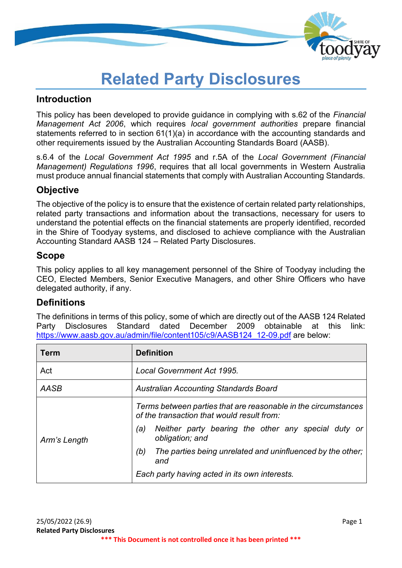

# **Related Party Disclosures**

### **Introduction**

This policy has been developed to provide guidance in complying with s.62 of the *Financial Management Act 2006*, which requires *local government authorities* prepare financial statements referred to in section 61(1)(a) in accordance with the accounting standards and other requirements issued by the Australian Accounting Standards Board (AASB).

s.6.4 of the *Local Government Act 1995* and r.5A of the *Local Government (Financial Management) Regulations 1996*, requires that all local governments in Western Australia must produce annual financial statements that comply with Australian Accounting Standards.

### **Objective**

The objective of the policy is to ensure that the existence of certain related party relationships, related party transactions and information about the transactions, necessary for users to understand the potential effects on the financial statements are properly identified, recorded in the Shire of Toodyay systems, and disclosed to achieve compliance with the Australian Accounting Standard AASB 124 – Related Party Disclosures.

### **Scope**

This policy applies to all key management personnel of the Shire of Toodyay including the CEO, Elected Members, Senior Executive Managers, and other Shire Officers who have delegated authority, if any.

### **Definitions**

The definitions in terms of this policy, some of which are directly out of the AASB 124 Related Party Disclosures Standard dated December 2009 obtainable at this link: [https://www.aasb.gov.au/admin/file/content105/c9/AASB124\\_12-09.pdf](https://www.aasb.gov.au/admin/file/content105/c9/AASB124_12-09.pdf) are below:

| Term         | <b>Definition</b>                                                                                            |  |
|--------------|--------------------------------------------------------------------------------------------------------------|--|
| Act          | Local Government Act 1995.                                                                                   |  |
| AASB         | <b>Australian Accounting Standards Board</b>                                                                 |  |
|              | Terms between parties that are reasonable in the circumstances<br>of the transaction that would result from: |  |
| Arm's Length | Neither party bearing the other any special duty or<br>(a)<br>obligation; and                                |  |
|              | The parties being unrelated and uninfluenced by the other;<br>(b)<br>and                                     |  |
|              | Each party having acted in its own interests.                                                                |  |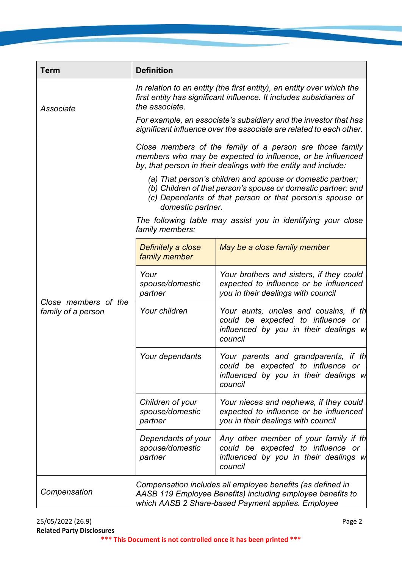| Term                                       | <b>Definition</b>                                                                                                                                                                                            |                                                                                                                                |  |  |
|--------------------------------------------|--------------------------------------------------------------------------------------------------------------------------------------------------------------------------------------------------------------|--------------------------------------------------------------------------------------------------------------------------------|--|--|
| Associate                                  | In relation to an entity (the first entity), an entity over which the<br>first entity has significant influence. It includes subsidiaries of<br>the associate.                                               |                                                                                                                                |  |  |
|                                            | For example, an associate's subsidiary and the investor that has<br>significant influence over the associate are related to each other.                                                                      |                                                                                                                                |  |  |
|                                            | Close members of the family of a person are those family<br>members who may be expected to influence, or be influenced<br>by, that person in their dealings with the entity and include:                     |                                                                                                                                |  |  |
|                                            | (a) That person's children and spouse or domestic partner;<br>(b) Children of that person's spouse or domestic partner; and<br>(c) Dependants of that person or that person's spouse or<br>domestic partner. |                                                                                                                                |  |  |
|                                            | The following table may assist you in identifying your close<br>family members:                                                                                                                              |                                                                                                                                |  |  |
|                                            | Definitely a close<br>family member                                                                                                                                                                          | May be a close family member                                                                                                   |  |  |
| Close members of the<br>family of a person | Your<br>spouse/domestic<br>partner                                                                                                                                                                           | Your brothers and sisters, if they could<br>expected to influence or be influenced<br>you in their dealings with council       |  |  |
|                                            | Your children                                                                                                                                                                                                | Your aunts, uncles and cousins, if th<br>could be expected to influence or<br>influenced by you in their dealings w<br>council |  |  |
|                                            | Your dependants                                                                                                                                                                                              | Your parents and grandparents, if th<br>could be expected to influence or<br>influenced by you in their dealings w<br>council  |  |  |
|                                            | Children of your<br>spouse/domestic<br>partner                                                                                                                                                               | Your nieces and nephews, if they could<br>expected to influence or be influenced<br>you in their dealings with council         |  |  |
|                                            | Dependants of your<br>spouse/domestic<br>partner                                                                                                                                                             | Any other member of your family if th<br>could be expected to influence or<br>influenced by you in their dealings w<br>council |  |  |
| Compensation                               | Compensation includes all employee benefits (as defined in<br>AASB 119 Employee Benefits) including employee benefits to<br>which AASB 2 Share-based Payment applies. Employee                               |                                                                                                                                |  |  |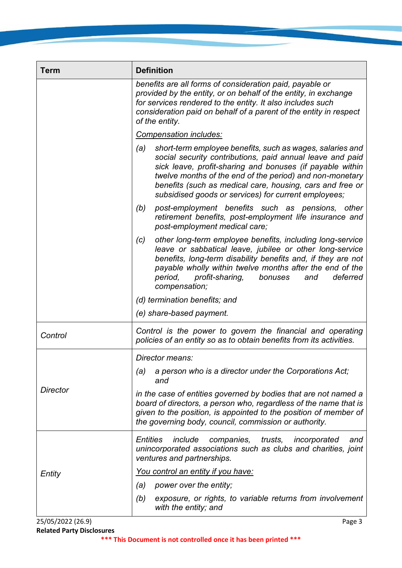| Term            | <b>Definition</b>                                                                                                                                                                                                                                                                                                                                                           |  |  |
|-----------------|-----------------------------------------------------------------------------------------------------------------------------------------------------------------------------------------------------------------------------------------------------------------------------------------------------------------------------------------------------------------------------|--|--|
|                 | benefits are all forms of consideration paid, payable or<br>provided by the entity, or on behalf of the entity, in exchange<br>for services rendered to the entity. It also includes such<br>consideration paid on behalf of a parent of the entity in respect<br>of the entity.                                                                                            |  |  |
|                 | <b>Compensation includes:</b>                                                                                                                                                                                                                                                                                                                                               |  |  |
|                 | short-term employee benefits, such as wages, salaries and<br>(a)<br>social security contributions, paid annual leave and paid<br>sick leave, profit-sharing and bonuses (if payable within<br>twelve months of the end of the period) and non-monetary<br>benefits (such as medical care, housing, cars and free or<br>subsidised goods or services) for current employees; |  |  |
|                 | (b)<br>post-employment benefits such as pensions, other<br>retirement benefits, post-employment life insurance and<br>post-employment medical care;                                                                                                                                                                                                                         |  |  |
|                 | other long-term employee benefits, including long-service<br>(c)<br>leave or sabbatical leave, jubilee or other long-service<br>benefits, long-term disability benefits and, if they are not<br>payable wholly within twelve months after the end of the<br>period, profit-sharing,<br>deferred<br>bonuses<br>and<br>compensation;                                          |  |  |
|                 | (d) termination benefits; and                                                                                                                                                                                                                                                                                                                                               |  |  |
|                 | (e) share-based payment.                                                                                                                                                                                                                                                                                                                                                    |  |  |
| Control         | Control is the power to govern the financial and operating<br>policies of an entity so as to obtain benefits from its activities.                                                                                                                                                                                                                                           |  |  |
|                 | Director means:                                                                                                                                                                                                                                                                                                                                                             |  |  |
|                 | a person who is a director under the Corporations Act;<br>(a)<br>and                                                                                                                                                                                                                                                                                                        |  |  |
| <b>Director</b> | in the case of entities governed by bodies that are not named a<br>board of directors, a person who, regardless of the name that is<br>given to the position, is appointed to the position of member of<br>the governing body, council, commission or authority.                                                                                                            |  |  |
|                 | <b>Entities</b><br>include<br>companies, trusts,<br>incorporated<br>and<br>unincorporated associations such as clubs and charities, joint<br>ventures and partnerships.                                                                                                                                                                                                     |  |  |
| Entity          | You control an entity if you have:                                                                                                                                                                                                                                                                                                                                          |  |  |
|                 | (a)<br>power over the entity;                                                                                                                                                                                                                                                                                                                                               |  |  |
|                 | exposure, or rights, to variable returns from involvement<br>(b)<br>with the entity; and                                                                                                                                                                                                                                                                                    |  |  |

25/05/2022 (26.9) Page 3 **Related Party Disclosures**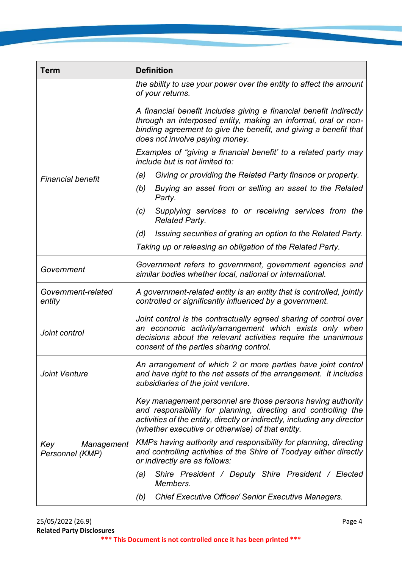| <b>Term</b>                          | <b>Definition</b>                                                                                                                                                                                                                                             |  |  |
|--------------------------------------|---------------------------------------------------------------------------------------------------------------------------------------------------------------------------------------------------------------------------------------------------------------|--|--|
|                                      | the ability to use your power over the entity to affect the amount<br>of your returns.                                                                                                                                                                        |  |  |
|                                      | A financial benefit includes giving a financial benefit indirectly<br>through an interposed entity, making an informal, oral or non-<br>binding agreement to give the benefit, and giving a benefit that<br>does not involve paying money.                    |  |  |
|                                      | Examples of "giving a financial benefit" to a related party may<br>include but is not limited to:                                                                                                                                                             |  |  |
| <b>Financial benefit</b>             | Giving or providing the Related Party finance or property.<br>(a)                                                                                                                                                                                             |  |  |
|                                      | Buying an asset from or selling an asset to the Related<br>(b)<br>Party.                                                                                                                                                                                      |  |  |
|                                      | Supplying services to or receiving services from the<br>(c)<br><b>Related Party.</b>                                                                                                                                                                          |  |  |
|                                      | Issuing securities of grating an option to the Related Party.<br>(d)                                                                                                                                                                                          |  |  |
|                                      | Taking up or releasing an obligation of the Related Party.                                                                                                                                                                                                    |  |  |
| Government                           | Government refers to government, government agencies and<br>similar bodies whether local, national or international.                                                                                                                                          |  |  |
| Government-related<br>entity         | A government-related entity is an entity that is controlled, jointly<br>controlled or significantly influenced by a government.                                                                                                                               |  |  |
| Joint control                        | Joint control is the contractually agreed sharing of control over<br>an economic activity/arrangement which exists only when<br>decisions about the relevant activities require the unanimous<br>consent of the parties sharing control.                      |  |  |
| <b>Joint Venture</b>                 | An arrangement of which 2 or more parties have joint control<br>and have right to the net assets of the arrangement. It includes<br>subsidiaries of the joint venture.                                                                                        |  |  |
|                                      | Key management personnel are those persons having authority<br>and responsibility for planning, directing and controlling the<br>activities of the entity, directly or indirectly, including any director<br>(whether executive or otherwise) of that entity. |  |  |
| Management<br>Key<br>Personnel (KMP) | KMPs having authority and responsibility for planning, directing<br>and controlling activities of the Shire of Toodyay either directly<br>or indirectly are as follows:                                                                                       |  |  |
|                                      | Shire President / Deputy Shire President / Elected<br>(a)<br>Members.                                                                                                                                                                                         |  |  |
|                                      | <b>Chief Executive Officer/ Senior Executive Managers.</b><br>(b)                                                                                                                                                                                             |  |  |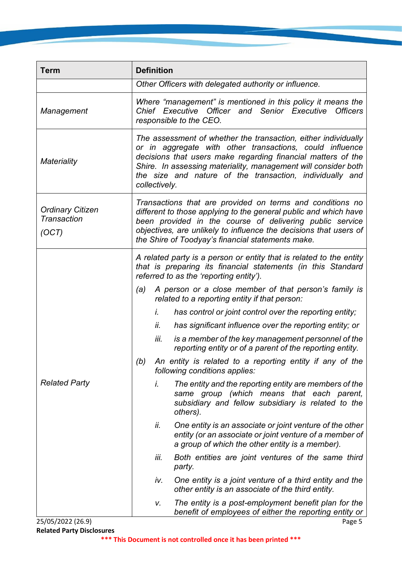| <b>Term</b>                                            | <b>Definition</b>                                                                                                                                                                                                                                                                                                                         |  |  |
|--------------------------------------------------------|-------------------------------------------------------------------------------------------------------------------------------------------------------------------------------------------------------------------------------------------------------------------------------------------------------------------------------------------|--|--|
|                                                        | Other Officers with delegated authority or influence.                                                                                                                                                                                                                                                                                     |  |  |
| Management                                             | Where "management" is mentioned in this policy it means the<br>Chief Executive Officer and Senior Executive Officers<br>responsible to the CEO.                                                                                                                                                                                           |  |  |
| <b>Materiality</b>                                     | The assessment of whether the transaction, either individually<br>or in aggregate with other transactions, could influence<br>decisions that users make regarding financial matters of the<br>Shire. In assessing materiality, management will consider both<br>the size and nature of the transaction, individually and<br>collectively. |  |  |
| <b>Ordinary Citizen</b><br><b>Transaction</b><br>(OCT) | Transactions that are provided on terms and conditions no<br>different to those applying to the general public and which have<br>been provided in the course of delivering public service<br>objectives, are unlikely to influence the decisions that users of<br>the Shire of Toodyay's financial statements make.                       |  |  |
|                                                        | A related party is a person or entity that is related to the entity<br>that is preparing its financial statements (in this Standard<br>referred to as the 'reporting entity').                                                                                                                                                            |  |  |
|                                                        | A person or a close member of that person's family is<br>(a)<br>related to a reporting entity if that person:                                                                                                                                                                                                                             |  |  |
|                                                        | has control or joint control over the reporting entity;<br>İ.                                                                                                                                                                                                                                                                             |  |  |
|                                                        | ii.<br>has significant influence over the reporting entity; or                                                                                                                                                                                                                                                                            |  |  |
|                                                        | iii.<br>is a member of the key management personnel of the<br>reporting entity or of a parent of the reporting entity.                                                                                                                                                                                                                    |  |  |
|                                                        | An entity is related to a reporting entity if any of the<br>(b)<br>following conditions applies:                                                                                                                                                                                                                                          |  |  |
| <b>Related Party</b>                                   | i.<br>The entity and the reporting entity are members of the<br>same group (which means that each parent,<br>subsidiary and fellow subsidiary is related to the<br>others).                                                                                                                                                               |  |  |
|                                                        | One entity is an associate or joint venture of the other<br>ii.<br>entity (or an associate or joint venture of a member of<br>a group of which the other entity is a member).                                                                                                                                                             |  |  |
|                                                        | iii.<br>Both entities are joint ventures of the same third<br>party.                                                                                                                                                                                                                                                                      |  |  |
|                                                        | One entity is a joint venture of a third entity and the<br>iv.<br>other entity is an associate of the third entity.                                                                                                                                                                                                                       |  |  |
| 25/05/2022 (26.9)                                      | The entity is a post-employment benefit plan for the<br>V.<br>benefit of employees of either the reporting entity or<br>Page 5                                                                                                                                                                                                            |  |  |

**Related Party Disclosures**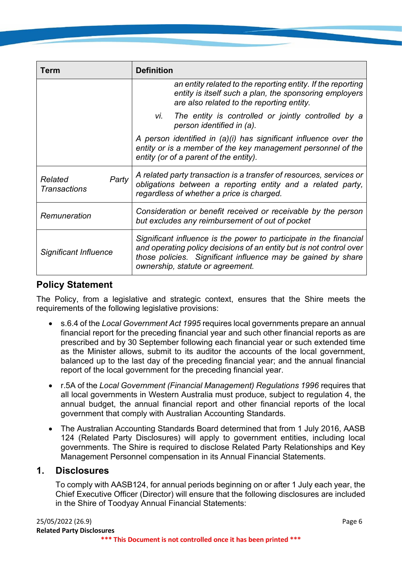| Term                                    | <b>Definition</b>                                                                                                                                                                                                                             |  |  |
|-----------------------------------------|-----------------------------------------------------------------------------------------------------------------------------------------------------------------------------------------------------------------------------------------------|--|--|
|                                         | an entity related to the reporting entity. If the reporting<br>entity is itself such a plan, the sponsoring employers<br>are also related to the reporting entity.                                                                            |  |  |
|                                         | vi. The entity is controlled or jointly controlled by a<br>person identified in (a).                                                                                                                                                          |  |  |
|                                         | A person identified in $(a)(i)$ has significant influence over the<br>entity or is a member of the key management personnel of the<br>entity (or of a parent of the entity).                                                                  |  |  |
| Party<br>Related<br><b>Transactions</b> | A related party transaction is a transfer of resources, services or<br>obligations between a reporting entity and a related party,<br>regardless of whether a price is charged.                                                               |  |  |
| Remuneration                            | Consideration or benefit received or receivable by the person<br>but excludes any reimbursement of out of pocket                                                                                                                              |  |  |
| Significant Influence                   | Significant influence is the power to participate in the financial<br>and operating policy decisions of an entity but is not control over<br>those policies. Significant influence may be gained by share<br>ownership, statute or agreement. |  |  |

### **Policy Statement**

The Policy, from a legislative and strategic context, ensures that the Shire meets the requirements of the following legislative provisions:

- s.6.4 of the *Local Government Act 1995* requires local governments prepare an annual financial report for the preceding financial year and such other financial reports as are prescribed and by 30 September following each financial year or such extended time as the Minister allows, submit to its auditor the accounts of the local government, balanced up to the last day of the preceding financial year; and the annual financial report of the local government for the preceding financial year.
- r.5A of the *Local Government (Financial Management) Regulations 1996* requires that all local governments in Western Australia must produce, subject to regulation 4, the annual budget, the annual financial report and other financial reports of the local government that comply with Australian Accounting Standards.
- The Australian Accounting Standards Board determined that from 1 July 2016, AASB 124 (Related Party Disclosures) will apply to government entities, including local governments. The Shire is required to disclose Related Party Relationships and Key Management Personnel compensation in its Annual Financial Statements.

### **1. Disclosures**

To comply with AASB124, for annual periods beginning on or after 1 July each year, the Chief Executive Officer (Director) will ensure that the following disclosures are included in the Shire of Toodyay Annual Financial Statements: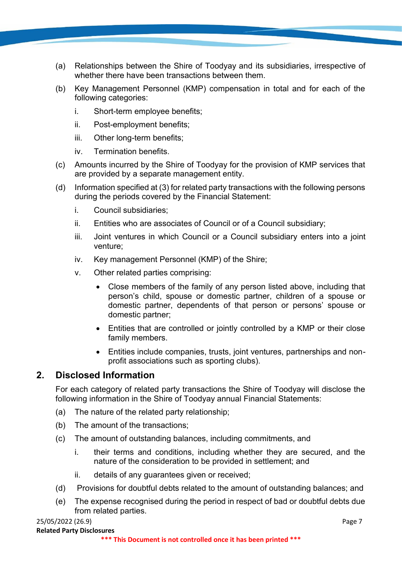- (a) Relationships between the Shire of Toodyay and its subsidiaries, irrespective of whether there have been transactions between them.
- (b) Key Management Personnel (KMP) compensation in total and for each of the following categories:
	- i. Short-term employee benefits;
	- ii. Post-employment benefits;
	- iii. Other long-term benefits;
	- iv. Termination benefits.
- (c) Amounts incurred by the Shire of Toodyay for the provision of KMP services that are provided by a separate management entity.
- (d) Information specified at (3) for related party transactions with the following persons during the periods covered by the Financial Statement:
	- i. Council subsidiaries;
	- ii. Entities who are associates of Council or of a Council subsidiary;
	- iii. Joint ventures in which Council or a Council subsidiary enters into a joint venture;
	- iv. Key management Personnel (KMP) of the Shire;
	- v. Other related parties comprising:
		- Close members of the family of any person listed above, including that person's child, spouse or domestic partner, children of a spouse or domestic partner, dependents of that person or persons' spouse or domestic partner;
		- Entities that are controlled or jointly controlled by a KMP or their close family members.
		- Entities include companies, trusts, joint ventures, partnerships and nonprofit associations such as sporting clubs).

### **2. Disclosed Information**

For each category of related party transactions the Shire of Toodyay will disclose the following information in the Shire of Toodyay annual Financial Statements:

- (a) The nature of the related party relationship;
- (b) The amount of the transactions;
- (c) The amount of outstanding balances, including commitments, and
	- i. their terms and conditions, including whether they are secured, and the nature of the consideration to be provided in settlement; and
	- ii. details of any guarantees given or received;
- (d) Provisions for doubtful debts related to the amount of outstanding balances; and
- (e) The expense recognised during the period in respect of bad or doubtful debts due from related parties.

#### 25/05/2022 (26.9) Page 7 **Related Party Disclosures**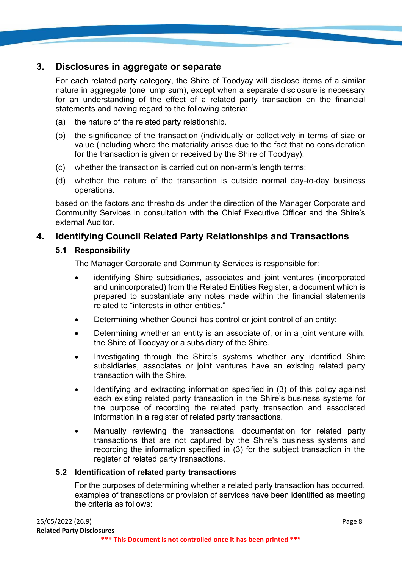### **3. Disclosures in aggregate or separate**

For each related party category, the Shire of Toodyay will disclose items of a similar nature in aggregate (one lump sum), except when a separate disclosure is necessary for an understanding of the effect of a related party transaction on the financial statements and having regard to the following criteria:

- (a) the nature of the related party relationship.
- (b) the significance of the transaction (individually or collectively in terms of size or value (including where the materiality arises due to the fact that no consideration for the transaction is given or received by the Shire of Toodyay);
- (c) whether the transaction is carried out on non-arm's length terms;
- (d) whether the nature of the transaction is outside normal day-to-day business operations.

based on the factors and thresholds under the direction of the Manager Corporate and Community Services in consultation with the Chief Executive Officer and the Shire's external Auditor.

### **4. Identifying Council Related Party Relationships and Transactions**

#### **5.1 Responsibility**

The Manager Corporate and Community Services is responsible for:

- identifying Shire subsidiaries, associates and joint ventures (incorporated and unincorporated) from the Related Entities Register, a document which is prepared to substantiate any notes made within the financial statements related to "interests in other entities."
- Determining whether Council has control or joint control of an entity;
- Determining whether an entity is an associate of, or in a joint venture with, the Shire of Toodyay or a subsidiary of the Shire.
- Investigating through the Shire's systems whether any identified Shire subsidiaries, associates or joint ventures have an existing related party transaction with the Shire.
- Identifying and extracting information specified in (3) of this policy against each existing related party transaction in the Shire's business systems for the purpose of recording the related party transaction and associated information in a register of related party transactions.
- Manually reviewing the transactional documentation for related party transactions that are not captured by the Shire's business systems and recording the information specified in (3) for the subject transaction in the register of related party transactions.

#### **5.2 Identification of related party transactions**

For the purposes of determining whether a related party transaction has occurred, examples of transactions or provision of services have been identified as meeting the criteria as follows: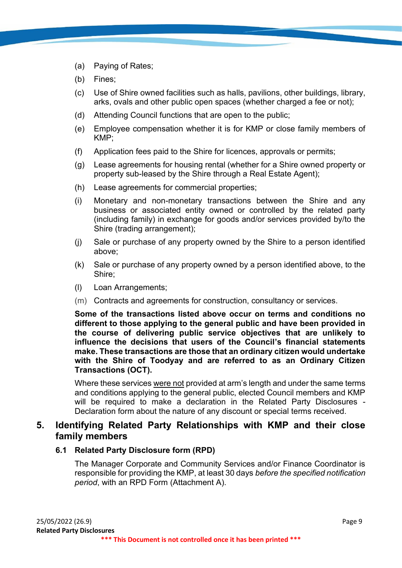- (a) Paying of Rates;
- (b) Fines;
- (c) Use of Shire owned facilities such as halls, pavilions, other buildings, library, arks, ovals and other public open spaces (whether charged a fee or not);
- (d) Attending Council functions that are open to the public;
- (e) Employee compensation whether it is for KMP or close family members of KMP;
- (f) Application fees paid to the Shire for licences, approvals or permits;
- (g) Lease agreements for housing rental (whether for a Shire owned property or property sub-leased by the Shire through a Real Estate Agent);
- (h) Lease agreements for commercial properties;
- (i) Monetary and non-monetary transactions between the Shire and any business or associated entity owned or controlled by the related party (including family) in exchange for goods and/or services provided by/to the Shire (trading arrangement);
- (j) Sale or purchase of any property owned by the Shire to a person identified above;
- (k) Sale or purchase of any property owned by a person identified above, to the Shire;
- (l) Loan Arrangements;
- (m) Contracts and agreements for construction, consultancy or services.

**Some of the transactions listed above occur on terms and conditions no different to those applying to the general public and have been provided in the course of delivering public service objectives that are unlikely to influence the decisions that users of the Council's financial statements make. These transactions are those that an ordinary citizen would undertake with the Shire of Toodyay and are referred to as an Ordinary Citizen Transactions (OCT).**

Where these services were not provided at arm's length and under the same terms and conditions applying to the general public, elected Council members and KMP will be required to make a declaration in the Related Party Disclosures - Declaration form about the nature of any discount or special terms received.

### **5. Identifying Related Party Relationships with KMP and their close family members**

#### **6.1 Related Party Disclosure form (RPD)**

The Manager Corporate and Community Services and/or Finance Coordinator is responsible for providing the KMP, at least 30 days *before the specified notification period*, with an RPD Form (Attachment A).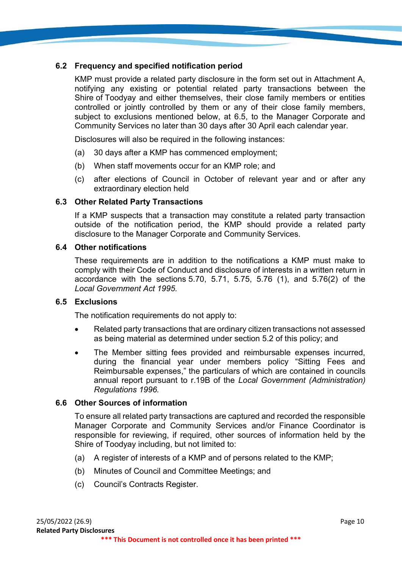#### **6.2 Frequency and specified notification period**

KMP must provide a related party disclosure in the form set out in Attachment A, notifying any existing or potential related party transactions between the Shire of Toodyay and either themselves, their close family members or entities controlled or jointly controlled by them or any of their close family members, subject to exclusions mentioned below, at 6.5, to the Manager Corporate and Community Services no later than 30 days after 30 April each calendar year.

Disclosures will also be required in the following instances:

- (a) 30 days after a KMP has commenced employment;
- (b) When staff movements occur for an KMP role; and
- (c) after elections of Council in October of relevant year and or after any extraordinary election held

#### **6.3 Other Related Party Transactions**

If a KMP suspects that a transaction may constitute a related party transaction outside of the notification period, the KMP should provide a related party disclosure to the Manager Corporate and Community Services.

#### **6.4 Other notifications**

These requirements are in addition to the notifications a KMP must make to comply with their Code of Conduct and disclosure of interests in a written return in accordance with the sections 5.70, 5.71, 5.75, 5.76 (1), and 5.76(2) of the *Local Government Act 1995.*

#### **6.5 Exclusions**

The notification requirements do not apply to:

- Related party transactions that are ordinary citizen transactions not assessed as being material as determined under section 5.2 of this policy; and
- The Member sitting fees provided and reimbursable expenses incurred, during the financial year under members policy "Sitting Fees and Reimbursable expenses," the particulars of which are contained in councils annual report pursuant to r.19B of the *Local Government (Administration) Regulations 1996.*

#### **6.6 Other Sources of information**

To ensure all related party transactions are captured and recorded the responsible Manager Corporate and Community Services and/or Finance Coordinator is responsible for reviewing, if required, other sources of information held by the Shire of Toodyay including, but not limited to:

- (a) A register of interests of a KMP and of persons related to the KMP;
- (b) Minutes of Council and Committee Meetings; and
- (c) Council's Contracts Register.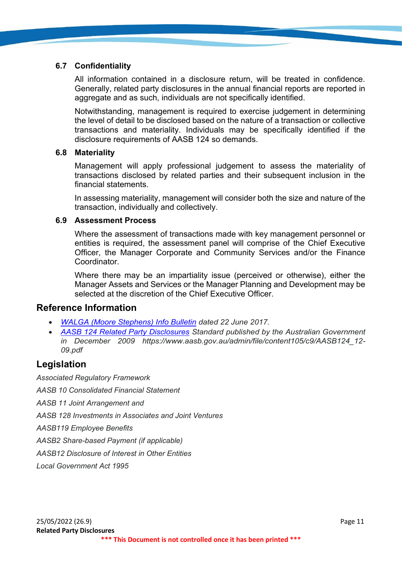#### **6.7 Confidentiality**

All information contained in a disclosure return, will be treated in confidence. Generally, related party disclosures in the annual financial reports are reported in aggregate and as such, individuals are not specifically identified.

Notwithstanding, management is required to exercise judgement in determining the level of detail to be disclosed based on the nature of a transaction or collective transactions and materiality. Individuals may be specifically identified if the disclosure requirements of AASB 124 so demands.

#### **6.8 Materiality**

Management will apply professional judgement to assess the materiality of transactions disclosed by related parties and their subsequent inclusion in the financial statements.

In assessing materiality, management will consider both the size and nature of the transaction, individually and collectively.

#### **6.9 Assessment Process**

Where the assessment of transactions made with key management personnel or entities is required, the assessment panel will comprise of the Chief Executive Officer, the Manager Corporate and Community Services and/or the Finance **Coordinator** 

Where there may be an impartiality issue (perceived or otherwise), either the Manager Assets and Services or the Manager Planning and Development may be selected at the discretion of the Chief Executive Officer.

#### **Reference Information**

- *[WALGA \(Moore Stephens\) Info Bulletin](https://walga.asn.au/getattachment/Policy-Advice-and-Advocacy/Governance-and-Organisational-Services/INFOPAGE-Related-Party-Disclosures-June-2017.pdf.aspx?lang=en-AU) dated 22 June 2017.*
- *[AASB 124 Related Party Disclosures](https://www.aasb.gov.au/admin/file/content105/c9/AASB124_12-09.pdf) Standard published by the Australian Government in December 2009 [https://www.aasb.gov.au/admin/file/content105/c9/AASB124\\_12-](https://www.aasb.gov.au/admin/file/content105/c9/AASB124_12-09.pdf) [09.pdf](https://www.aasb.gov.au/admin/file/content105/c9/AASB124_12-09.pdf)*

### **Legislation**

*Associated Regulatory Framework AASB 10 Consolidated Financial Statement AASB 11 Joint Arrangement and AASB 128 Investments in Associates and Joint Ventures AASB119 Employee Benefits AASB2 Share-based Payment (if applicable) AASB12 Disclosure of Interest in Other Entities Local Government Act 1995*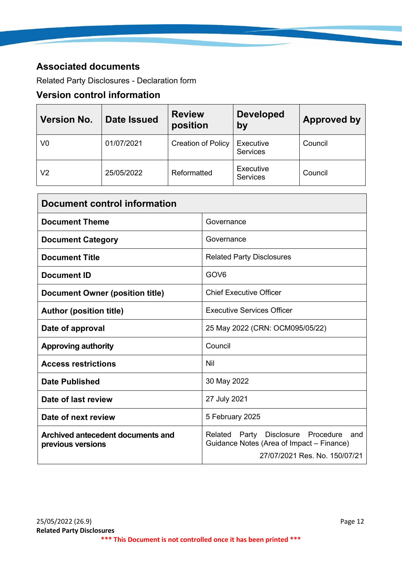## **Associated documents**

Related Party Disclosures - Declaration form

# **Version control information**

| <b>Version No.</b> | <b>Date Issued</b> | <b>Review</b><br>position | <b>Developed</b><br>by       | <b>Approved by</b> |
|--------------------|--------------------|---------------------------|------------------------------|--------------------|
| V0                 | 01/07/2021         | <b>Creation of Policy</b> | Executive<br>Services        | Council            |
| V2                 | 25/05/2022         | Reformatted               | Executive<br><b>Services</b> | Council            |

| <b>Document control information</b>                                                                                                                                              |                                   |  |
|----------------------------------------------------------------------------------------------------------------------------------------------------------------------------------|-----------------------------------|--|
| <b>Document Theme</b>                                                                                                                                                            | Governance                        |  |
| <b>Document Category</b>                                                                                                                                                         | Governance                        |  |
| <b>Document Title</b>                                                                                                                                                            | <b>Related Party Disclosures</b>  |  |
| GOV <sub>6</sub><br><b>Document ID</b>                                                                                                                                           |                                   |  |
| Document Owner (position title)                                                                                                                                                  | <b>Chief Executive Officer</b>    |  |
| <b>Author (position title)</b>                                                                                                                                                   | <b>Executive Services Officer</b> |  |
| 25 May 2022 (CRN: OCM095/05/22)<br>Date of approval                                                                                                                              |                                   |  |
| <b>Approving authority</b>                                                                                                                                                       | Council                           |  |
| <b>Access restrictions</b>                                                                                                                                                       | Nil                               |  |
| 30 May 2022<br><b>Date Published</b>                                                                                                                                             |                                   |  |
| Date of last review                                                                                                                                                              | 27 July 2021                      |  |
| Date of next review                                                                                                                                                              | 5 February 2025                   |  |
| Archived antecedent documents and<br>Disclosure Procedure<br>Related<br>Party<br>Guidance Notes (Area of Impact – Finance)<br>previous versions<br>27/07/2021 Res. No. 150/07/21 |                                   |  |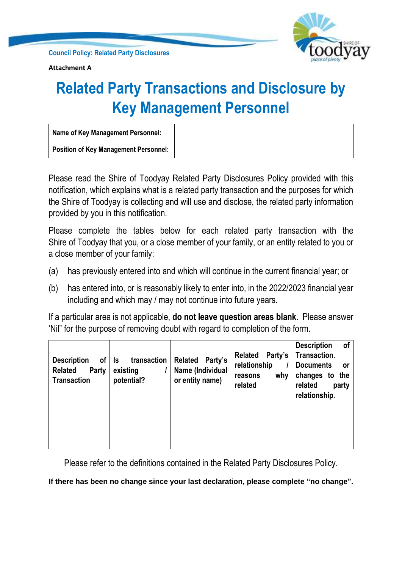

**Attachment A**

# **Related Party Transactions and Disclosure by Key Management Personnel**

| <b>Name of Key Management Personnel:</b> |  |
|------------------------------------------|--|
| Position of Key Management Personnel:    |  |

Please read the Shire of Toodyay Related Party Disclosures Policy provided with this notification, which explains what is a related party transaction and the purposes for which the Shire of Toodyay is collecting and will use and disclose, the related party information provided by you in this notification.

Please complete the tables below for each related party transaction with the Shire of Toodyay that you, or a close member of your family, or an entity related to you or a close member of your family:

- (a) has previously entered into and which will continue in the current financial year; or
- (b) has entered into, or is reasonably likely to enter into, in the 2022/2023 financial year including and which may / may not continue into future years.

If a particular area is not applicable, **do not leave question areas blank**. Please answer 'Nil" for the purpose of removing doubt with regard to completion of the form.

| <b>Description</b><br>οf<br><b>Related</b><br>Party<br><b>Transaction</b> | transaction<br>ls<br>existing<br>potential? | Party's<br><b>Related</b><br>Name (Individual<br>or entity name) | Party's<br><b>Related</b><br>relationship<br>why<br>reasons<br>related | <b>Description</b><br>οf<br>Transaction.<br><b>Documents</b><br>.or<br>changes to<br>the<br>related<br>party<br>relationship. |
|---------------------------------------------------------------------------|---------------------------------------------|------------------------------------------------------------------|------------------------------------------------------------------------|-------------------------------------------------------------------------------------------------------------------------------|
|                                                                           |                                             |                                                                  |                                                                        |                                                                                                                               |

Please refer to the definitions contained in the Related Party Disclosures Policy.

**If there has been no change since your last declaration, please complete "no change".**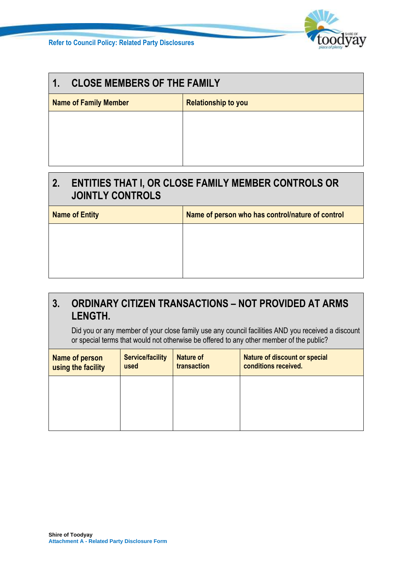

| <b>CLOSE MEMBERS OF THE FAMILY</b><br>$\mathbf{1}$ .       |  |  |
|------------------------------------------------------------|--|--|
| <b>Name of Family Member</b><br><b>Relationship to you</b> |  |  |
|                                                            |  |  |
|                                                            |  |  |
|                                                            |  |  |
|                                                            |  |  |

# **2. ENTITIES THAT I, OR CLOSE FAMILY MEMBER CONTROLS OR JOINTLY CONTROLS**

| <b>Name of Entity</b> | Name of person who has control/nature of control |  |
|-----------------------|--------------------------------------------------|--|
|                       |                                                  |  |
|                       |                                                  |  |
|                       |                                                  |  |

## **3. ORDINARY CITIZEN TRANSACTIONS – NOT PROVIDED AT ARMS LENGTH.**

Did you or any member of your close family use any council facilities AND you received a discount or special terms that would not otherwise be offered to any other member of the public?

| Name of person<br>using the facility | <b>Service/facility</b><br>used | <b>Nature of</b><br>transaction | <b>Nature of discount or special</b><br>conditions received. |
|--------------------------------------|---------------------------------|---------------------------------|--------------------------------------------------------------|
|                                      |                                 |                                 |                                                              |
|                                      |                                 |                                 |                                                              |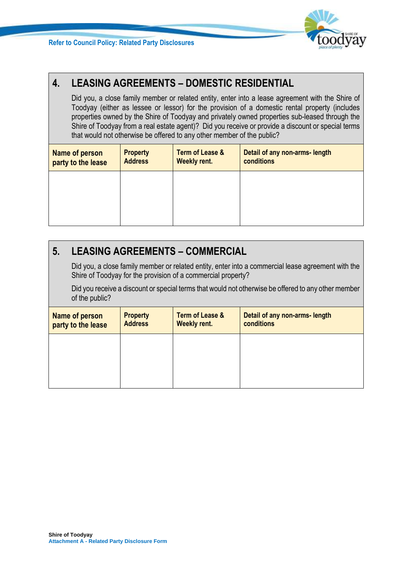

# **4. LEASING AGREEMENTS – DOMESTIC RESIDENTIAL**

Did you, a close family member or related entity, enter into a lease agreement with the Shire of Toodyay (either as lessee or lessor) for the provision of a domestic rental property (includes properties owned by the Shire of Toodyay and privately owned properties sub-leased through the Shire of Toodyay from a real estate agent)? Did you receive or provide a discount or special terms that would not otherwise be offered to any other member of the public?

| Name of person<br>party to the lease | <b>Property</b><br><b>Address</b> | <b>Term of Lease &amp;</b><br><b>Weekly rent.</b> | Detail of any non-arms- length<br>conditions |
|--------------------------------------|-----------------------------------|---------------------------------------------------|----------------------------------------------|
|                                      |                                   |                                                   |                                              |
|                                      |                                   |                                                   |                                              |

# **5. LEASING AGREEMENTS – COMMERCIAL**

Did you, a close family member or related entity, enter into a commercial lease agreement with the Shire of Toodyay for the provision of a commercial property?

Did you receive a discount or special terms that would not otherwise be offered to any other member of the public?

| Name of person<br>party to the lease | <b>Property</b><br><b>Address</b> | <b>Term of Lease &amp;</b><br><b>Weekly rent.</b> | Detail of any non-arms- length<br>conditions |
|--------------------------------------|-----------------------------------|---------------------------------------------------|----------------------------------------------|
|                                      |                                   |                                                   |                                              |
|                                      |                                   |                                                   |                                              |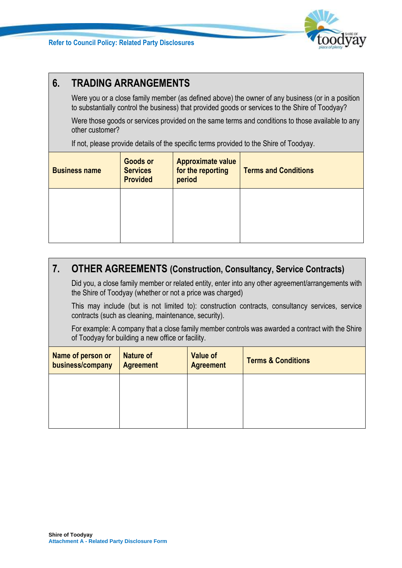

# **6. TRADING ARRANGEMENTS**

Were you or a close family member (as defined above) the owner of any business (or in a position to substantially control the business) that provided goods or services to the Shire of Toodyay?

Were those goods or services provided on the same terms and conditions to those available to any other customer?

If not, please provide details of the specific terms provided to the Shire of Toodyay.

| <b>Business name</b> | <b>Goods or</b><br><b>Services</b><br><b>Provided</b> | <b>Approximate value</b><br>for the reporting<br>period | <b>Terms and Conditions</b> |
|----------------------|-------------------------------------------------------|---------------------------------------------------------|-----------------------------|
|                      |                                                       |                                                         |                             |

# **7. OTHER AGREEMENTS (Construction, Consultancy, Service Contracts)**

Did you, a close family member or related entity, enter into any other agreement/arrangements with the Shire of Toodyay (whether or not a price was charged)

This may include (but is not limited to): construction contracts, consultancy services, service contracts (such as cleaning, maintenance, security).

For example: A company that a close family member controls was awarded a contract with the Shire of Toodyay for building a new office or facility.

| Name of person or<br>business/company | <b>Nature of</b><br><b>Agreement</b> | <b>Value of</b><br><b>Agreement</b> | <b>Terms &amp; Conditions</b> |
|---------------------------------------|--------------------------------------|-------------------------------------|-------------------------------|
|                                       |                                      |                                     |                               |
|                                       |                                      |                                     |                               |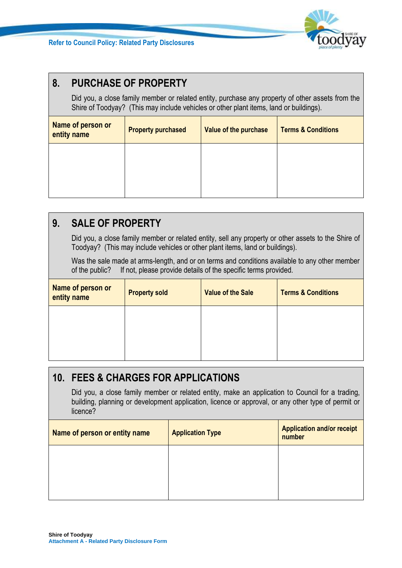

# **8. PURCHASE OF PROPERTY**

Did you, a close family member or related entity, purchase any property of other assets from the Shire of Toodyay? (This may include vehicles or other plant items, land or buildings).

| Name of person or<br>entity name | <b>Property purchased</b> | Value of the purchase | <b>Terms &amp; Conditions</b> |
|----------------------------------|---------------------------|-----------------------|-------------------------------|
|                                  |                           |                       |                               |
|                                  |                           |                       |                               |
|                                  |                           |                       |                               |

# **9. SALE OF PROPERTY**

Did you, a close family member or related entity, sell any property or other assets to the Shire of Toodyay? (This may include vehicles or other plant items, land or buildings).

Was the sale made at arms-length, and or on terms and conditions available to any other member of the public? If not, please provide details of the specific terms provided.

| Name of person or<br>entity name | <b>Property sold</b> | <b>Value of the Sale</b> | <b>Terms &amp; Conditions</b> |
|----------------------------------|----------------------|--------------------------|-------------------------------|
|                                  |                      |                          |                               |
|                                  |                      |                          |                               |
|                                  |                      |                          |                               |

# **10. FEES & CHARGES FOR APPLICATIONS**

Did you, a close family member or related entity, make an application to Council for a trading, building, planning or development application, licence or approval, or any other type of permit or licence?

| Name of person or entity name | <b>Application Type</b> | <b>Application and/or receipt</b><br>number |
|-------------------------------|-------------------------|---------------------------------------------|
|                               |                         |                                             |
|                               |                         |                                             |
|                               |                         |                                             |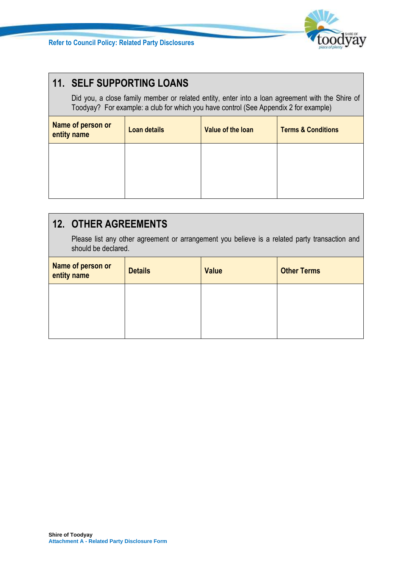

# **11. SELF SUPPORTING LOANS**

Did you, a close family member or related entity, enter into a loan agreement with the Shire of Toodyay? For example: a club for which you have control (See Appendix 2 for example)

| Name of person or<br>entity name | Loan details | Value of the loan | <b>Terms &amp; Conditions</b> |
|----------------------------------|--------------|-------------------|-------------------------------|
|                                  |              |                   |                               |
|                                  |              |                   |                               |
|                                  |              |                   |                               |

# **12. OTHER AGREEMENTS**

Please list any other agreement or arrangement you believe is a related party transaction and should be declared.

| Name of person or<br>entity name | <b>Details</b> | <b>Value</b> | <b>Other Terms</b> |
|----------------------------------|----------------|--------------|--------------------|
|                                  |                |              |                    |
|                                  |                |              |                    |